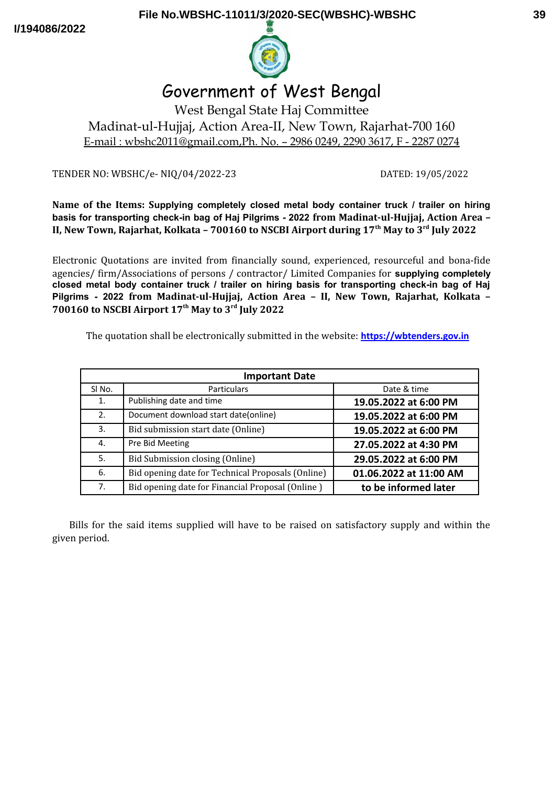**I/194086/2022**



# Government of West Bengal

West Bengal State Haj Committee Madinat-ul-Hujjaj, Action Area-II, New Town, Rajarhat-700 160 E-mail : wbshc2011@gmail.com,Ph. No. – 2986 0249, 2290 3617, F - 2287 0274

TENDER NO: WBSHC/e- NIQ/04/2022-23 DATED: 19/05/2022

**Name of the Items: Supplying completely closed metal body container truck / trailer on hiring basis for transporting check-in bag of Haj Pilgrims - 2022 from Madinat-ul-Hujjaj, Action Area – II, New Town, Rajarhat, Kolkata – 700160 to NSCBI Airport during 17th May to 3rd July 2022**

Electronic Quotations are invited from financially sound, experienced, resourceful and bona-fide agencies/ firm/Associations of persons / contractor/ Limited Companies for **supplying completely closed metal body container truck / trailer on hiring basis for transporting check-in bag of Haj Pilgrims - 2022 from Madinat-ul-Hujjaj, Action Area – II, New Town, Rajarhat, Kolkata – 700160 to NSCBI Airport 17th May to 3rd July 2022**

The quotation shall be electronically submitted in the website: **[https://wbtenders.gov.in](https://wbtenders.gov.in/)**

| <b>Important Date</b> |                                                   |                        |  |
|-----------------------|---------------------------------------------------|------------------------|--|
| SI <sub>No.</sub>     | <b>Particulars</b>                                | Date & time            |  |
| 1.                    | Publishing date and time                          | 19.05.2022 at 6:00 PM  |  |
| 2.                    | Document download start date(online)              | 19.05.2022 at 6:00 PM  |  |
| 3.                    | Bid submission start date (Online)                | 19.05.2022 at 6:00 PM  |  |
| 4.                    | Pre Bid Meeting                                   | 27.05.2022 at 4:30 PM  |  |
| 5.                    | Bid Submission closing (Online)                   | 29.05.2022 at 6:00 PM  |  |
| 6.                    | Bid opening date for Technical Proposals (Online) | 01.06.2022 at 11:00 AM |  |
| 7 <sub>1</sub>        | Bid opening date for Financial Proposal (Online)  | to be informed later   |  |

Bills for the said items supplied will have to be raised on satisfactory supply and within the given period.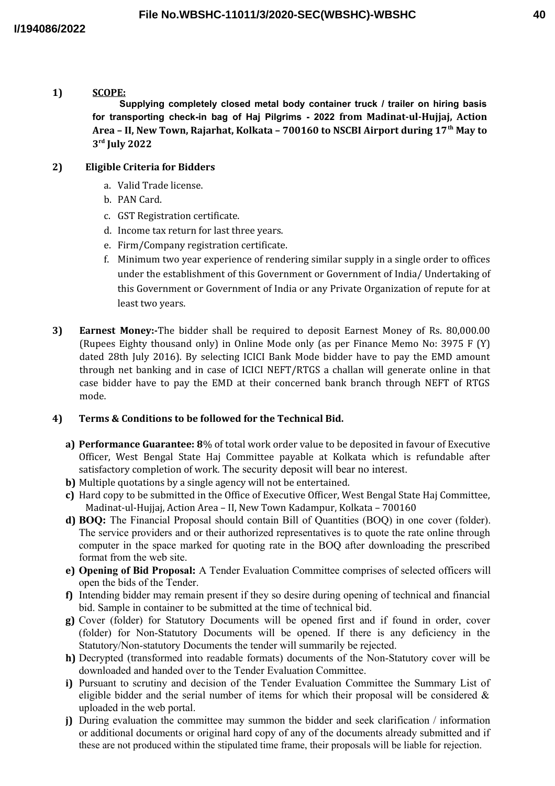# **1) SCOPE:**

**Supplying completely closed metal body container truck / trailer on hiring basis for transporting check-in bag of Haj Pilgrims - 2022 from Madinat-ul-Hujjaj, Action Area – II, New Town, Rajarhat, Kolkata – 700160 to NSCBI Airport during 17th May to 3 rd July 2022**

## **2) Eligible Criteria for Bidders**

- a. Valid Trade license.
- b. PAN Card.
- c. GST Registration certificate.
- d. Income tax return for last three years.
- e. Firm/Company registration certificate.
- f. Minimum two year experience of rendering similar supply in a single order to offices under the establishment of this Government or Government of India/ Undertaking of this Government or Government of India or any Private Organization of repute for at least two years.
- **3) Earnest Money:-**The bidder shall be required to deposit Earnest Money of Rs. 80,000.00 (Rupees Eighty thousand only) in Online Mode only (as per Finance Memo No: 3975 F (Y) dated 28th July 2016). By selecting ICICI Bank Mode bidder have to pay the EMD amount through net banking and in case of ICICI NEFT/RTGS a challan will generate online in that case bidder have to pay the EMD at their concerned bank branch through NEFT of RTGS mode.

#### **4) Terms & Conditions to be followed for the Technical Bid.**

- **a) Performance Guarantee: 8**% of total work order value to be deposited in favour of Executive Officer, West Bengal State Haj Committee payable at Kolkata which is refundable after satisfactory completion of work. The security deposit will bear no interest.
- **b)** Multiple quotations by a single agency will not be entertained.
- **c)** Hard copy to be submitted in the Office of Executive Officer, West Bengal State Haj Committee, Madinat-ul-Hujjaj, Action Area – II, New Town Kadampur, Kolkata – 700160
- **d) BOQ:** The Financial Proposal should contain Bill of Quantities (BOQ) in one cover (folder). The service providers and or their authorized representatives is to quote the rate online through computer in the space marked for quoting rate in the BOQ after downloading the prescribed format from the web site.
- **e) Opening of Bid Proposal:** A Tender Evaluation Committee comprises of selected officers will open the bids of the Tender.
- **f)** Intending bidder may remain present if they so desire during opening of technical and financial bid. Sample in container to be submitted at the time of technical bid.
- **g)** Cover (folder) for Statutory Documents will be opened first and if found in order, cover (folder) for Non-Statutory Documents will be opened. If there is any deficiency in the Statutory/Non-statutory Documents the tender will summarily be rejected.
- **h)** Decrypted (transformed into readable formats) documents of the Non-Statutory cover will be downloaded and handed over to the Tender Evaluation Committee.
- **i)** Pursuant to scrutiny and decision of the Tender Evaluation Committee the Summary List of eligible bidder and the serial number of items for which their proposal will be considered  $\&$ uploaded in the web portal.
- **j)** During evaluation the committee may summon the bidder and seek clarification / information or additional documents or original hard copy of any of the documents already submitted and if these are not produced within the stipulated time frame, their proposals will be liable for rejection.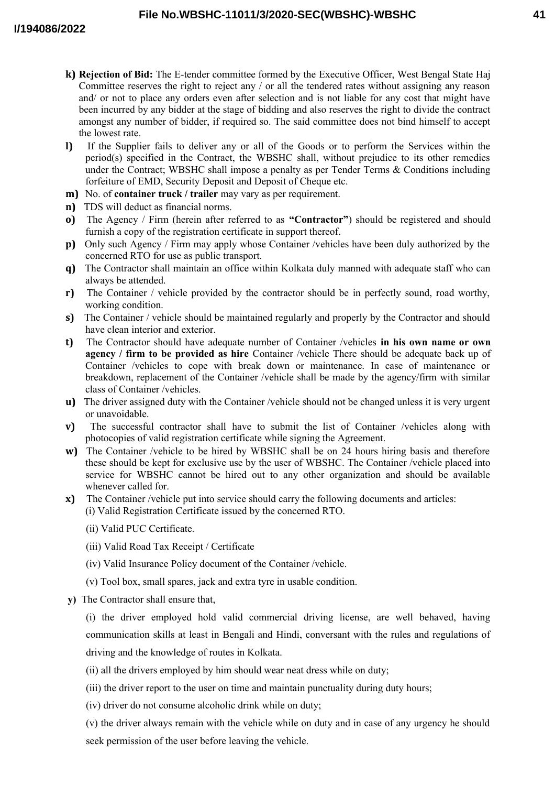- **k) Rejection of Bid:** The E-tender committee formed by the Executive Officer, West Bengal State Haj Committee reserves the right to reject any / or all the tendered rates without assigning any reason and/ or not to place any orders even after selection and is not liable for any cost that might have been incurred by any bidder at the stage of bidding and also reserves the right to divide the contract amongst any number of bidder, if required so. The said committee does not bind himself to accept the lowest rate.
- **l)** If the Supplier fails to deliver any or all of the Goods or to perform the Services within the period(s) specified in the Contract, the WBSHC shall, without prejudice to its other remedies under the Contract; WBSHC shall impose a penalty as per Tender Terms & Conditions including forfeiture of EMD, Security Deposit and Deposit of Cheque etc.
- **m)** No. of **container truck / trailer** may vary as per requirement.
- **n)** TDS will deduct as financial norms.
- **o)** The Agency / Firm (herein after referred to as **"Contractor"**) should be registered and should furnish a copy of the registration certificate in support thereof.
- **p)** Only such Agency / Firm may apply whose Container /vehicles have been duly authorized by the concerned RTO for use as public transport.
- **q)** The Contractor shall maintain an office within Kolkata duly manned with adequate staff who can always be attended.
- **r)** The Container / vehicle provided by the contractor should be in perfectly sound, road worthy, working condition.
- **s)** The Container / vehicle should be maintained regularly and properly by the Contractor and should have clean interior and exterior.
- **t)** The Contractor should have adequate number of Container /vehicles **in his own name or own agency / firm to be provided as hire** Container /vehicle There should be adequate back up of Container /vehicles to cope with break down or maintenance. In case of maintenance or breakdown, replacement of the Container /vehicle shall be made by the agency/firm with similar class of Container /vehicles.
- **u)** The driver assigned duty with the Container /vehicle should not be changed unless it is very urgent or unavoidable.
- **v)** The successful contractor shall have to submit the list of Container /vehicles along with photocopies of valid registration certificate while signing the Agreement.
- **w)** The Container /vehicle to be hired by WBSHC shall be on 24 hours hiring basis and therefore these should be kept for exclusive use by the user of WBSHC. The Container /vehicle placed into service for WBSHC cannot be hired out to any other organization and should be available whenever called for.
- **x)** The Container /vehicle put into service should carry the following documents and articles: (i) Valid Registration Certificate issued by the concerned RTO.
	- (ii) Valid PUC Certificate.
	- (iii) Valid Road Tax Receipt / Certificate
	- (iv) Valid Insurance Policy document of the Container /vehicle.
	- (v) Tool box, small spares, jack and extra tyre in usable condition.
- **y)** The Contractor shall ensure that,

(i) the driver employed hold valid commercial driving license, are well behaved, having communication skills at least in Bengali and Hindi, conversant with the rules and regulations of driving and the knowledge of routes in Kolkata.

- (ii) all the drivers employed by him should wear neat dress while on duty;
- (iii) the driver report to the user on time and maintain punctuality during duty hours;
- (iv) driver do not consume alcoholic drink while on duty;

(v) the driver always remain with the vehicle while on duty and in case of any urgency he should seek permission of the user before leaving the vehicle.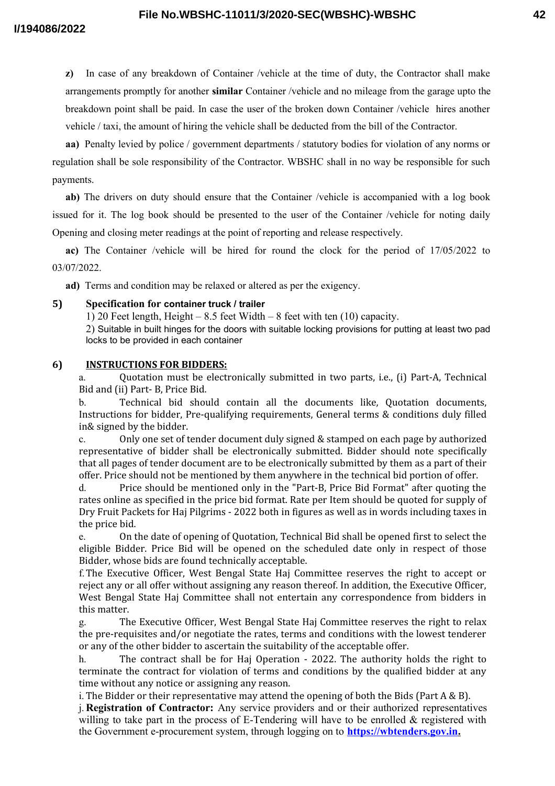**z**) In case of any breakdown of Container /vehicle at the time of duty, the Contractor shall make arrangements promptly for another **similar** Container /vehicle and no mileage from the garage upto the breakdown point shall be paid. In case the user of the broken down Container /vehicle hires another vehicle / taxi, the amount of hiring the vehicle shall be deducted from the bill of the Contractor.

**aa**) Penalty levied by police / government departments / statutory bodies for violation of any norms or regulation shall be sole responsibility of the Contractor. WBSHC shall in no way be responsible for such payments.

**ab)** The drivers on duty should ensure that the Container /vehicle is accompanied with a log book issued for it. The log book should be presented to the user of the Container /vehicle for noting daily Opening and closing meter readings at the point of reporting and release respectively.

**ac)** The Container /vehicle will be hired for round the clock for the period of 17/05/2022 to 03/07/2022.

**ad)** Terms and condition may be relaxed or altered as per the exigency.

## **5) Specification for container truck / trailer**

1) 20 Feet length, Height – 8.5 feet Width – 8 feet with ten (10) capacity.

2) Suitable in built hinges for the doors with suitable locking provisions for putting at least two pad locks to be provided in each container

## **6) INSTRUCTIONS FOR BIDDERS:**

a. Quotation must be electronically submitted in two parts, i.e., (i) Part-A, Technical Bid and (ii) Part- B, Price Bid.

b. Technical bid should contain all the documents like, Quotation documents, Instructions for bidder, Pre-qualifying requirements, General terms & conditions duly filled in& signed by the bidder.

c. Only one set of tender document duly signed & stamped on each page by authorized representative of bidder shall be electronically submitted. Bidder should note specifically that all pages of tender document are to be electronically submitted by them as a part of their offer. Price should not be mentioned by them anywhere in the technical bid portion of offer.

d. Price should be mentioned only in the "Part-B, Price Bid Format" after quoting the rates online as specified in the price bid format. Rate per Item should be quoted for supply of Dry Fruit Packets for Haj Pilgrims - 2022 both in figures as well as in words including taxes in the price bid.

e. On the date of opening of Quotation, Technical Bid shall be opened first to select the eligible Bidder. Price Bid will be opened on the scheduled date only in respect of those Bidder, whose bids are found technically acceptable.

f.The Executive Officer, West Bengal State Haj Committee reserves the right to accept or reject any or all offer without assigning any reason thereof. In addition, the Executive Officer, West Bengal State Haj Committee shall not entertain any correspondence from bidders in this matter.

g. The Executive Officer, West Bengal State Haj Committee reserves the right to relax the pre-requisites and/or negotiate the rates, terms and conditions with the lowest tenderer or any of the other bidder to ascertain the suitability of the acceptable offer.

h. The contract shall be for Haj Operation - 2022. The authority holds the right to terminate the contract for violation of terms and conditions by the qualified bidder at any time without any notice or assigning any reason.

i. The Bidder or their representative may attend the opening of both the Bids (Part  $A \& B$ ).

j. **Registration of Contractor:** Any service providers and or their authorized representatives willing to take part in the process of E-Tendering will have to be enrolled  $\&$  registered with the Government e-procurement system, through logging on to **[https://wbtenders.gov.in.](https://wbtenders.gov.in/)**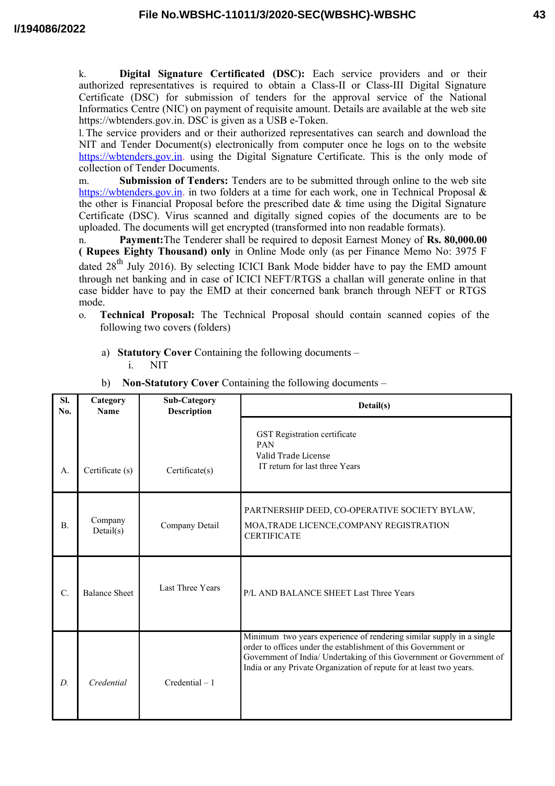k. **Digital Signature Certificated (DSC):** Each service providers and or their authorized representatives is required to obtain a Class-II or Class-III Digital Signature Certificate (DSC) for submission of tenders for the approval service of the National Informatics Centre (NIC) on payment of requisite amount. Details are available at the web site https://wbtenders.gov.in. DSC is given as a USB e-Token.

l. The service providers and or their authorized representatives can search and download the NIT and Tender Document(s) electronically from computer once he logs on to the website https://wbtenders.gov.in. using the Digital Signature Certificate. This is the only mode of collection of Tender Documents.

m. **Submission of Tenders:** Tenders are to be submitted through online to the web site https://wbtenders.gov.in. in two folders at a time for each work, one in Technical Proposal & the other is Financial Proposal before the prescribed date & time using the Digital Signature Certificate (DSC). Virus scanned and digitally signed copies of the documents are to be uploaded. The documents will get encrypted (transformed into non readable formats).

n. **Payment:**The Tenderer shall be required to deposit Earnest Money of **Rs. 80,000.00 ( Rupees Eighty Thousand) only** in Online Mode only (as per Finance Memo No: 3975 F dated  $28<sup>th</sup>$  July 2016). By selecting ICICI Bank Mode bidder have to pay the EMD amount through net banking and in case of ICICI NEFT/RTGS a challan will generate online in that case bidder have to pay the EMD at their concerned bank branch through NEFT or RTGS mode.

- o. **Technical Proposal:** The Technical Proposal should contain scanned copies of the following two covers (folders)
	- a) **Statutory Cover** Containing the following documents i. NIT

| SI.<br>No.      | Category<br><b>Name</b> | Sub-Category<br><b>Description</b> | Detail(s)                                                                                                                                                                                                                                                                             |
|-----------------|-------------------------|------------------------------------|---------------------------------------------------------------------------------------------------------------------------------------------------------------------------------------------------------------------------------------------------------------------------------------|
| A.              | Certificate (s)         | Certificate(s)                     | GST Registration certificate<br>PAN<br>Valid Trade License<br>IT return for last three Years                                                                                                                                                                                          |
| $\mathbf{B}$ .  | Company<br>Details(s)   | Company Detail                     | PARTNERSHIP DEED, CO-OPERATIVE SOCIETY BYLAW,<br>MOA, TRADE LICENCE, COMPANY REGISTRATION<br><b>CERTIFICATE</b>                                                                                                                                                                       |
| $\mathcal{C}$ . | <b>Balance Sheet</b>    | Last Three Years                   | P/L AND BALANCE SHEET Last Three Years                                                                                                                                                                                                                                                |
| D.              | Credential              | $Credential - 1$                   | Minimum two years experience of rendering similar supply in a single<br>order to offices under the establishment of this Government or<br>Government of India/ Undertaking of this Government or Government of<br>India or any Private Organization of repute for at least two years. |

b) **Non-Statutory Cover** Containing the following documents –